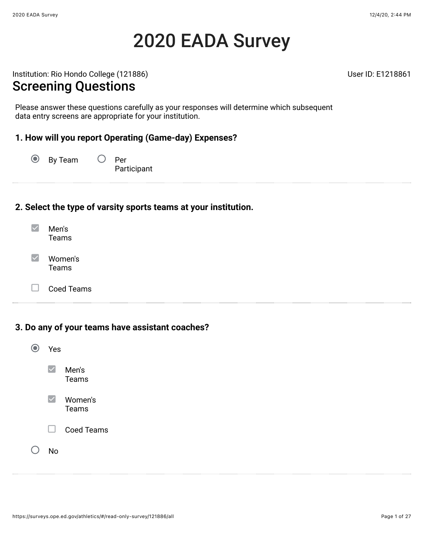# 2020 EADA Survey

Institution: Rio Hondo College (121886) and the College (1218861

#### Screening Questions

Please answer these questions carefully as your responses will determine which subsequent data entry screens are appropriate for your institution.

#### **1. How will you report Operating (Game-day) Expenses?**

 $\odot$ By Team  $\bigcirc$  Per

**Participant** 

#### **2. Select the type of varsity sports teams at your institution.**

| Men's<br>Teams   |
|------------------|
| Women's<br>Teams |

П Coed Teams

#### **3. Do any of your teams have assistant coaches?**

| Yes                  |                         |
|----------------------|-------------------------|
| $\blacktriangledown$ | Men's<br>Teams          |
| $\blacktriangledown$ | Women's<br><b>Teams</b> |
| H                    | <b>Coed Teams</b>       |
| N٥                   |                         |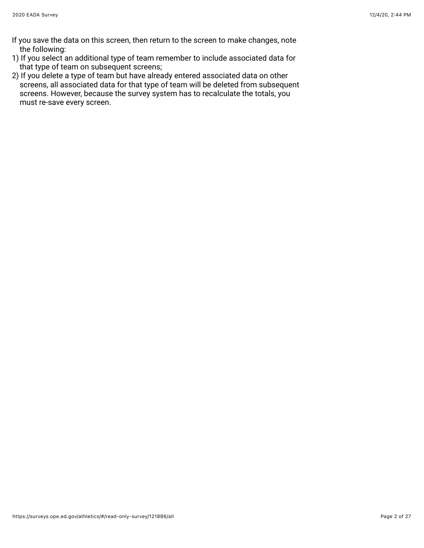- If you save the data on this screen, then return to the screen to make changes, note the following:
- 1) If you select an additional type of team remember to include associated data for that type of team on subsequent screens;
- 2) If you delete a type of team but have already entered associated data on other screens, all associated data for that type of team will be deleted from subsequent screens. However, because the survey system has to recalculate the totals, you must re-save every screen.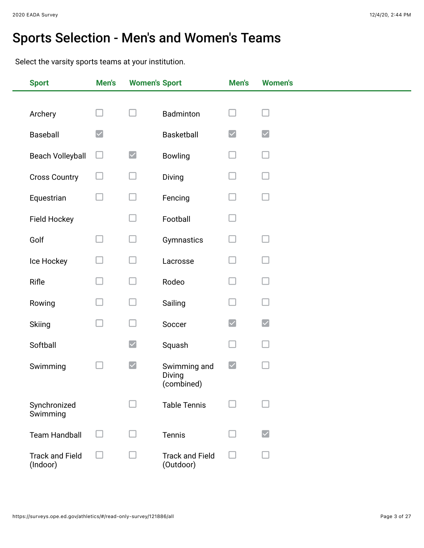# Sports Selection - Men's and Women's Teams

Select the varsity sports teams at your institution.

| <b>Sport</b>                       | Men's                          | <b>Women's Sport</b> |                                      | Men's                | <b>Women's</b>       |
|------------------------------------|--------------------------------|----------------------|--------------------------------------|----------------------|----------------------|
|                                    |                                |                      |                                      |                      |                      |
| Archery                            | $\Box$                         | H                    | Badminton                            |                      |                      |
| Baseball                           | $\boldsymbol{[ \mathcal{p} ]}$ |                      | Basketball                           | $\boxed{\checkmark}$ | $\blacktriangledown$ |
| <b>Beach Volleyball</b>            | $\Box$                         | $\blacktriangledown$ | Bowling                              |                      |                      |
| <b>Cross Country</b>               | $\Box$                         | $\Box$               | Diving                               |                      |                      |
| Equestrian                         | ⊔                              | $\Box$               | Fencing                              |                      | $\sim$               |
| Field Hockey                       |                                | $\Box$               | Football                             |                      |                      |
| Golf                               | $\Box$                         | ⊔                    | Gymnastics                           |                      |                      |
| Ice Hockey                         | $\Box$                         | □                    | Lacrosse                             |                      |                      |
| Rifle                              | Ш                              | $\Box$               | Rodeo                                |                      |                      |
| Rowing                             | $\Box$                         | $\Box$               | Sailing                              |                      | ×.                   |
| Skiing                             | $\Box$                         | □                    | Soccer                               | $\blacktriangledown$ | $\blacktriangledown$ |
| Softball                           |                                | $\blacktriangledown$ | Squash                               |                      |                      |
| Swimming                           |                                | $\blacktriangledown$ | Swimming and<br>Diving<br>(combined) | $\blacktriangledown$ |                      |
| Synchronized<br>Swimming           |                                |                      | <b>Table Tennis</b>                  |                      |                      |
| <b>Team Handball</b>               | H                              | H                    | Tennis                               |                      | $\blacktriangledown$ |
| <b>Track and Field</b><br>(Indoor) |                                |                      | <b>Track and Field</b><br>(Outdoor)  |                      |                      |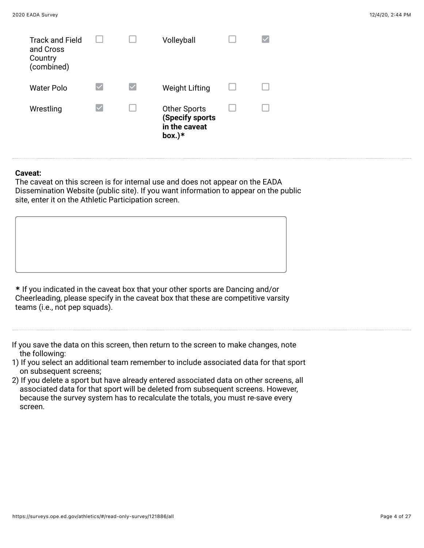| <b>Track and Field</b><br>and Cross<br>Country<br>(combined) |                      |                      | Volleyball                                                    |  |
|--------------------------------------------------------------|----------------------|----------------------|---------------------------------------------------------------|--|
| <b>Water Polo</b>                                            | $\blacktriangledown$ | $\blacktriangledown$ | <b>Weight Lifting</b>                                         |  |
| Wrestling                                                    | $\blacktriangledown$ |                      | Other Sports<br>(Specify sports<br>in the caveat<br>box. $)*$ |  |

#### **Caveat:**

The caveat on this screen is for internal use and does not appear on the EADA Dissemination Website (public site). If you want information to appear on the public site, enter it on the Athletic Participation screen.

**\*** If you indicated in the caveat box that your other sports are Dancing and/or Cheerleading, please specify in the caveat box that these are competitive varsity teams (i.e., not pep squads).

If you save the data on this screen, then return to the screen to make changes, note the following:

- 1) If you select an additional team remember to include associated data for that sport on subsequent screens;
- 2) If you delete a sport but have already entered associated data on other screens, all associated data for that sport will be deleted from subsequent screens. However, because the survey system has to recalculate the totals, you must re-save every screen.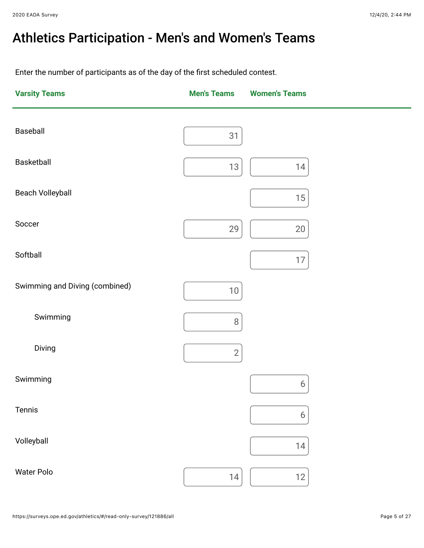# Athletics Participation - Men's and Women's Teams

Enter the number of participants as of the day of the first scheduled contest.

| <b>Varsity Teams</b>           | <b>Men's Teams</b> | <b>Women's Teams</b> |
|--------------------------------|--------------------|----------------------|
| Baseball                       | 31                 |                      |
| Basketball                     | 13                 | 14                   |
| Beach Volleyball               |                    | $15\,$               |
| Soccer                         | 29                 | 20                   |
| Softball                       |                    | $17\,$               |
| Swimming and Diving (combined) | $10\,$             |                      |
| Swimming                       | $8\,$              |                      |
| Diving                         | $\overline{2}$     |                      |
| Swimming                       |                    | $\boldsymbol{6}$     |
| Tennis                         |                    | $\boldsymbol{6}$     |
| Volleyball                     |                    | 14                   |
| Water Polo                     | 14                 | 12                   |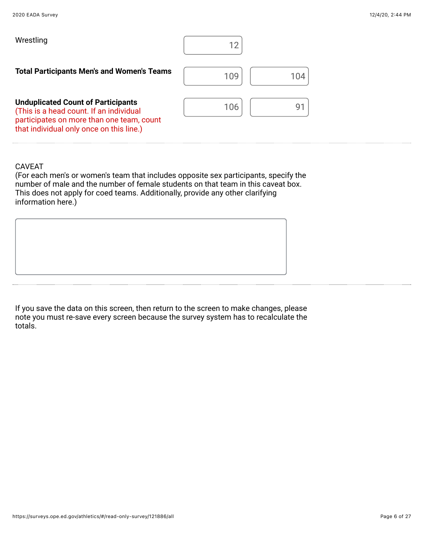| Wrestling                                                                                                                                                                     |            |
|-------------------------------------------------------------------------------------------------------------------------------------------------------------------------------|------------|
| <b>Total Participants Men's and Women's Teams</b>                                                                                                                             | 109<br>104 |
| <b>Unduplicated Count of Participants</b><br>(This is a head count. If an individual<br>participates on more than one team, count<br>that individual only once on this line.) | 106<br>Ý.  |

(For each men's or women's team that includes opposite sex participants, specify the number of male and the number of female students on that team in this caveat box. This does not apply for coed teams. Additionally, provide any other clarifying information here.)

If you save the data on this screen, then return to the screen to make changes, please note you must re-save every screen because the survey system has to recalculate the totals.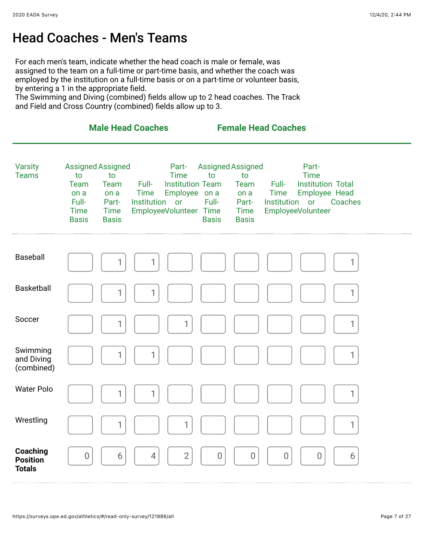### Head Coaches - Men's Teams

For each men's team, indicate whether the head coach is male or female, was assigned to the team on a full-time or part-time basis, and whether the coach was employed by the institution on a full-time basis or on a part-time or volunteer basis, by entering a 1 in the appropriate field.

The Swimming and Diving (combined) fields allow up to 2 head coaches. The Track and Field and Cross Country (combined) fields allow up to 3.

|                                              |                                                                                               |                                                            | <b>Male Head Coaches</b>               |                                                                                            |                                                         |                                                            | <b>Female Head Coaches</b>             |                                                                                               |              |  |
|----------------------------------------------|-----------------------------------------------------------------------------------------------|------------------------------------------------------------|----------------------------------------|--------------------------------------------------------------------------------------------|---------------------------------------------------------|------------------------------------------------------------|----------------------------------------|-----------------------------------------------------------------------------------------------|--------------|--|
| <b>Varsity</b><br><b>Teams</b>               | <b>Assigned Assigned</b><br>to<br><b>Team</b><br>on a<br>Full-<br><b>Time</b><br><b>Basis</b> | to<br>Team<br>on a<br>Part-<br><b>Time</b><br><b>Basis</b> | Full-<br><b>Time</b><br>Institution or | Part-<br><b>Time</b><br><b>Institution Team</b><br>Employee on a<br>EmployeeVolunteer Time | <b>Assigned Assigned</b><br>to<br>Full-<br><b>Basis</b> | to<br>Team<br>on a<br>Part-<br><b>Time</b><br><b>Basis</b> | Full-<br><b>Time</b><br>Institution or | Part-<br><b>Time</b><br><b>Institution Total</b><br>Employee Head<br><b>EmployeeVolunteer</b> | Coaches      |  |
| Baseball                                     |                                                                                               | 1                                                          | 1                                      |                                                                                            |                                                         |                                                            |                                        |                                                                                               | 1            |  |
| Basketball                                   |                                                                                               | 1                                                          | 1                                      |                                                                                            |                                                         |                                                            |                                        |                                                                                               | 1            |  |
| Soccer                                       |                                                                                               | 1                                                          |                                        | 1                                                                                          |                                                         |                                                            |                                        |                                                                                               | $\mathbf{1}$ |  |
| Swimming<br>and Diving<br>(combined)         |                                                                                               | 1                                                          | 1                                      |                                                                                            |                                                         |                                                            |                                        |                                                                                               | $\mathbf{1}$ |  |
| <b>Water Polo</b>                            |                                                                                               | 1                                                          | 1                                      |                                                                                            |                                                         |                                                            |                                        |                                                                                               | 1            |  |
| Wrestling                                    |                                                                                               | 1                                                          |                                        | $\mathbf{1}$                                                                               |                                                         |                                                            |                                        |                                                                                               | $\mathbf{1}$ |  |
| Coaching<br><b>Position</b><br><b>Totals</b> | 0                                                                                             | 6                                                          | $\overline{4}$                         | $\overline{2}$                                                                             | $\mathbf 0$                                             | $\theta$                                                   | $\mathbf 0$                            | $\theta$                                                                                      | 6            |  |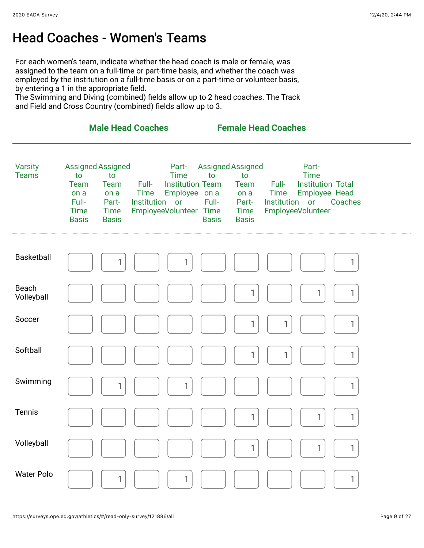### Head Coaches - Women's Teams

For each women's team, indicate whether the head coach is male or female, was assigned to the team on a full-time or part-time basis, and whether the coach was employed by the institution on a full-time basis or on a part-time or volunteer basis, by entering a 1 in the appropriate field.

The Swimming and Diving (combined) fields allow up to 2 head coaches. The Track and Field and Cross Country (combined) fields allow up to 3.

|                                |                                                                                                                                                      | <b>Male Head Coaches</b>                                                                                                                | <b>Female Head Coaches</b>                                                                                            |                                                                                                                                                    |  |
|--------------------------------|------------------------------------------------------------------------------------------------------------------------------------------------------|-----------------------------------------------------------------------------------------------------------------------------------------|-----------------------------------------------------------------------------------------------------------------------|----------------------------------------------------------------------------------------------------------------------------------------------------|--|
| <b>Varsity</b><br><b>Teams</b> | <b>Assigned Assigned</b><br>to<br>to<br>Team<br>Team<br>on a<br>on a<br>Full-<br>Part-<br><b>Time</b><br><b>Time</b><br><b>Basis</b><br><b>Basis</b> | Part-<br><b>Time</b><br>Full-<br><b>Institution Team</b><br>Employee on a<br><b>Time</b><br>Institution<br>or<br>EmployeeVolunteer Time | Assigned Assigned<br>to<br>to<br><b>Team</b><br>on a<br>Full-<br>Part-<br><b>Time</b><br><b>Basis</b><br><b>Basis</b> | Part-<br><b>Time</b><br><b>Institution Total</b><br>Full-<br>Employee Head<br><b>Time</b><br>Institution or<br>Coaches<br><b>EmployeeVolunteer</b> |  |
|                                |                                                                                                                                                      |                                                                                                                                         |                                                                                                                       |                                                                                                                                                    |  |
| Basketball                     |                                                                                                                                                      |                                                                                                                                         |                                                                                                                       | 1                                                                                                                                                  |  |
| Beach<br>Volleyball            |                                                                                                                                                      |                                                                                                                                         |                                                                                                                       | 1                                                                                                                                                  |  |
| Soccer                         |                                                                                                                                                      |                                                                                                                                         | 1                                                                                                                     | 1<br>1                                                                                                                                             |  |
| Softball                       |                                                                                                                                                      |                                                                                                                                         | 1                                                                                                                     | 1<br>1                                                                                                                                             |  |
| Swimming                       |                                                                                                                                                      | 1<br>1                                                                                                                                  |                                                                                                                       | 1                                                                                                                                                  |  |
| <b>Tennis</b>                  |                                                                                                                                                      |                                                                                                                                         |                                                                                                                       | 1                                                                                                                                                  |  |
| Volleyball                     |                                                                                                                                                      |                                                                                                                                         |                                                                                                                       | 1                                                                                                                                                  |  |
| Water Polo                     |                                                                                                                                                      | 1<br>1                                                                                                                                  |                                                                                                                       | 1                                                                                                                                                  |  |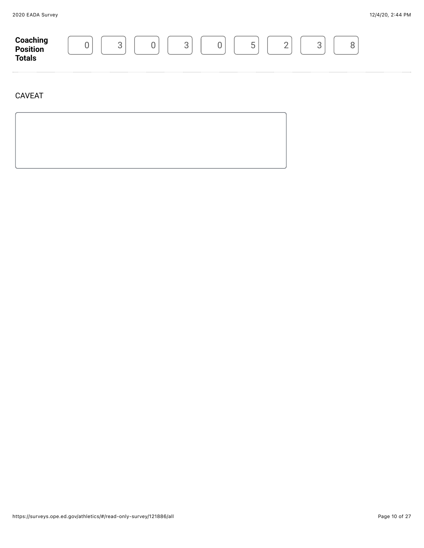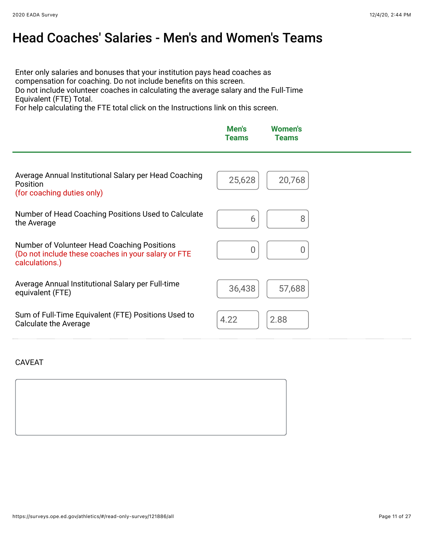### Head Coaches' Salaries - Men's and Women's Teams

Enter only salaries and bonuses that your institution pays head coaches as compensation for coaching. Do not include benefits on this screen. Do not include volunteer coaches in calculating the average salary and the Full-Time Equivalent (FTE) Total.

For help calculating the FTE total click on the Instructions link on this screen.

|                                                                                                                      | Men's<br><b>Teams</b> | <b>Women's</b><br><b>Teams</b> |  |
|----------------------------------------------------------------------------------------------------------------------|-----------------------|--------------------------------|--|
| Average Annual Institutional Salary per Head Coaching<br>Position<br>(for coaching duties only)                      | 25,628                | 20,768                         |  |
| Number of Head Coaching Positions Used to Calculate<br>the Average                                                   | 6                     | 8                              |  |
| Number of Volunteer Head Coaching Positions<br>(Do not include these coaches in your salary or FTE<br>calculations.) | 0                     | 0                              |  |
| Average Annual Institutional Salary per Full-time<br>equivalent (FTE)                                                | 36,438                | 57,688                         |  |
| Sum of Full-Time Equivalent (FTE) Positions Used to<br><b>Calculate the Average</b>                                  | 4.22                  | 2.88                           |  |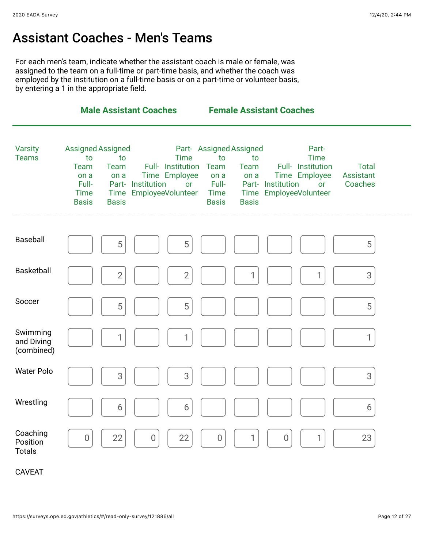### Assistant Coaches - Men's Teams

For each men's team, indicate whether the assistant coach is male or female, was assigned to the team on a full-time or part-time basis, and whether the coach was employed by the institution on a full-time basis or on a part-time or volunteer basis, by entering a 1 in the appropriate field.

|                                       | <b>Male Assistant Coaches</b>                                                          |                                           |                   |                                                                                   | <b>Female Assistant Coaches</b>                     |                                                               |                   |                                                                                            |                                             |  |
|---------------------------------------|----------------------------------------------------------------------------------------|-------------------------------------------|-------------------|-----------------------------------------------------------------------------------|-----------------------------------------------------|---------------------------------------------------------------|-------------------|--------------------------------------------------------------------------------------------|---------------------------------------------|--|
| <b>Varsity</b><br><b>Teams</b>        | Assigned Assigned<br>to<br><b>Team</b><br>on a<br>Full-<br><b>Time</b><br><b>Basis</b> | to<br><b>Team</b><br>on a<br><b>Basis</b> | Part- Institution | <b>Time</b><br>Full- Institution<br>Time Employee<br>or<br>Time EmployeeVolunteer | to<br>Team<br>on a<br>Full-<br>Time<br><b>Basis</b> | Part- Assigned Assigned<br>to<br>Team<br>on a<br><b>Basis</b> | Part- Institution | Part-<br><b>Time</b><br>Full- Institution<br>Time Employee<br>or<br>Time EmployeeVolunteer | <b>Total</b><br><b>Assistant</b><br>Coaches |  |
| Baseball                              |                                                                                        | 5                                         |                   | 5                                                                                 |                                                     |                                                               |                   |                                                                                            | 5                                           |  |
| <b>Basketball</b>                     |                                                                                        | $\overline{2}$                            |                   | $\overline{2}$                                                                    |                                                     | 1                                                             |                   | 1                                                                                          | 3                                           |  |
| Soccer                                |                                                                                        | 5                                         |                   | 5                                                                                 |                                                     |                                                               |                   |                                                                                            | 5                                           |  |
| Swimming<br>and Diving<br>(combined)  |                                                                                        | 1                                         |                   | 1                                                                                 |                                                     |                                                               |                   |                                                                                            | 1                                           |  |
| <b>Water Polo</b>                     |                                                                                        | 3                                         |                   | 3                                                                                 |                                                     |                                                               |                   |                                                                                            | 3                                           |  |
| Wrestling                             |                                                                                        | 6                                         |                   | 6                                                                                 |                                                     |                                                               |                   |                                                                                            | 6                                           |  |
| Coaching<br>Position<br><b>Totals</b> | $\overline{0}$                                                                         | 22                                        | $\mathbf 0$       | 22                                                                                | $\overline{0}$                                      | 1                                                             | $\overline{0}$    | 1                                                                                          | 23                                          |  |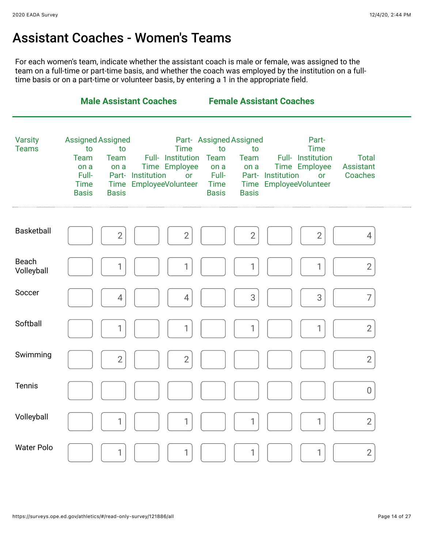### Assistant Coaches - Women's Teams

For each women's team, indicate whether the assistant coach is male or female, was assigned to the team on a full-time or part-time basis, and whether the coach was employed by the institution on a fulltime basis or on a part-time or volunteer basis, by entering a 1 in the appropriate field.

|                                | <b>Male Assistant Coaches</b>                                                                                                                                                                                                                        | <b>Female Assistant Coaches</b>                                                                                                                                                                                                        |                                             |
|--------------------------------|------------------------------------------------------------------------------------------------------------------------------------------------------------------------------------------------------------------------------------------------------|----------------------------------------------------------------------------------------------------------------------------------------------------------------------------------------------------------------------------------------|---------------------------------------------|
| <b>Varsity</b><br><b>Teams</b> | <b>Assigned Assigned</b><br>to<br>to<br><b>Time</b><br>Full- Institution<br><b>Team</b><br><b>Team</b><br>Time Employee<br>on a<br>on a<br>Full-<br>Part- Institution<br>or<br>Time EmployeeVolunteer<br><b>Time</b><br><b>Basis</b><br><b>Basis</b> | Part-Assigned Assigned<br>Part-<br><b>Time</b><br>to<br>to<br>Full- Institution<br>Team<br>Team<br>Time Employee<br>on a<br>on a<br>Full-<br>Part- Institution<br>or<br>Time EmployeeVolunteer<br>Time<br><b>Basis</b><br><b>Basis</b> | <b>Total</b><br><b>Assistant</b><br>Coaches |
| <b>Basketball</b>              | $\overline{2}$<br>$\overline{2}$                                                                                                                                                                                                                     | $\overline{2}$<br>$\overline{2}$                                                                                                                                                                                                       | 4                                           |
| Beach<br>Volleyball            | 1                                                                                                                                                                                                                                                    | 1                                                                                                                                                                                                                                      | $\overline{2}$                              |
| Soccer                         | 4<br>4                                                                                                                                                                                                                                               | 3<br>3                                                                                                                                                                                                                                 | $\overline{7}$                              |
| Softball                       | 1<br>1                                                                                                                                                                                                                                               | 1                                                                                                                                                                                                                                      | $\overline{2}$                              |
| Swimming                       | $\overline{2}$<br>$\overline{2}$                                                                                                                                                                                                                     |                                                                                                                                                                                                                                        | $\overline{2}$                              |
| <b>Tennis</b>                  |                                                                                                                                                                                                                                                      |                                                                                                                                                                                                                                        | $\overline{0}$                              |
| Volleyball                     | 1                                                                                                                                                                                                                                                    | 1                                                                                                                                                                                                                                      | $\overline{2}$                              |
| <b>Water Polo</b>              | 1                                                                                                                                                                                                                                                    | 1                                                                                                                                                                                                                                      | $\overline{2}$                              |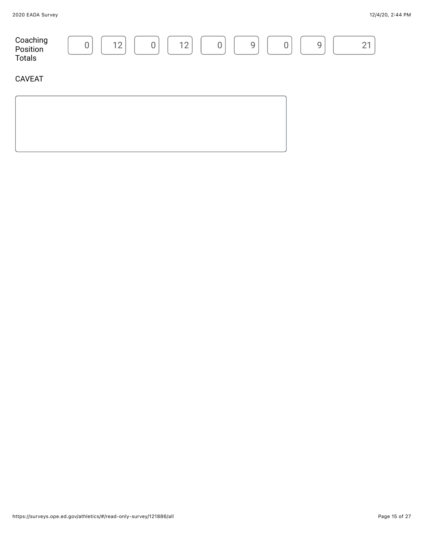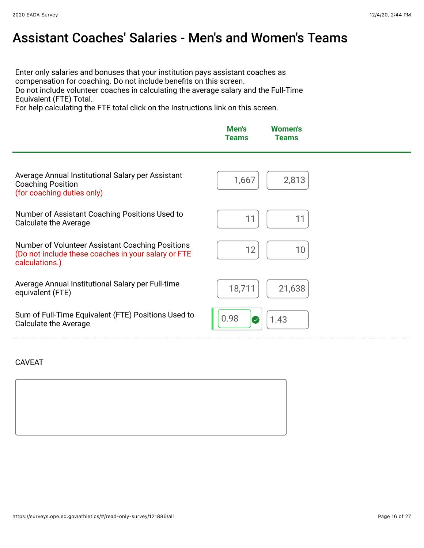### Assistant Coaches' Salaries - Men's and Women's Teams

Enter only salaries and bonuses that your institution pays assistant coaches as compensation for coaching. Do not include benefits on this screen.

Do not include volunteer coaches in calculating the average salary and the Full-Time Equivalent (FTE) Total.

For help calculating the FTE total click on the Instructions link on this screen.

|                                                                                                                           | Men's<br><b>Teams</b> | <b>Women's</b><br><b>Teams</b> |
|---------------------------------------------------------------------------------------------------------------------------|-----------------------|--------------------------------|
| Average Annual Institutional Salary per Assistant<br><b>Coaching Position</b><br>(for coaching duties only)               | 1,667                 | 2,813                          |
| Number of Assistant Coaching Positions Used to<br><b>Calculate the Average</b>                                            | 11                    | 11                             |
| Number of Volunteer Assistant Coaching Positions<br>(Do not include these coaches in your salary or FTE<br>calculations.) | 12                    | 10                             |
| Average Annual Institutional Salary per Full-time<br>equivalent (FTE)                                                     | 18,711                | 21,638                         |
| Sum of Full-Time Equivalent (FTE) Positions Used to<br>Calculate the Average                                              | 0.98<br>$\bullet$     | 1.43                           |

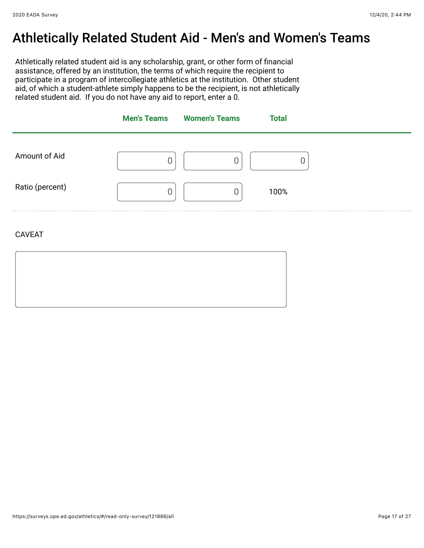### Athletically Related Student Aid - Men's and Women's Teams

Athletically related student aid is any scholarship, grant, or other form of financial assistance, offered by an institution, the terms of which require the recipient to participate in a program of intercollegiate athletics at the institution. Other student aid, of which a student-athlete simply happens to be the recipient, is not athletically related student aid. If you do not have any aid to report, enter a 0.

|                 | <b>Men's Teams</b> Women's Teams | <b>Total</b> |
|-----------------|----------------------------------|--------------|
| Amount of Aid   |                                  |              |
| Ratio (percent) |                                  | 100%         |
| <b>CAVEAT</b>   |                                  |              |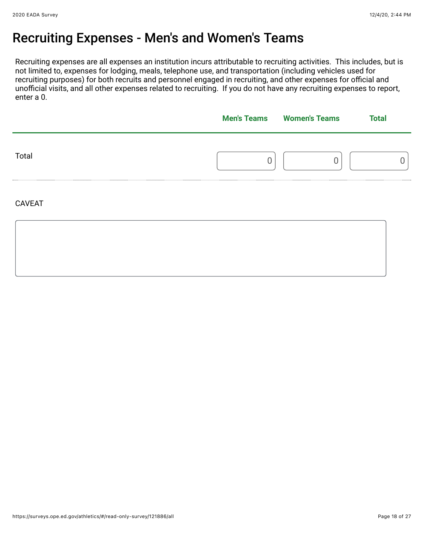### Recruiting Expenses - Men's and Women's Teams

Recruiting expenses are all expenses an institution incurs attributable to recruiting activities. This includes, but is not limited to, expenses for lodging, meals, telephone use, and transportation (including vehicles used for recruiting purposes) for both recruits and personnel engaged in recruiting, and other expenses for official and unofficial visits, and all other expenses related to recruiting. If you do not have any recruiting expenses to report, enter a 0.

|       | <b>Men's Teams</b> | <b>Women's Teams</b> | <b>Total</b> |  |
|-------|--------------------|----------------------|--------------|--|
| Total |                    |                      |              |  |
|       |                    |                      |              |  |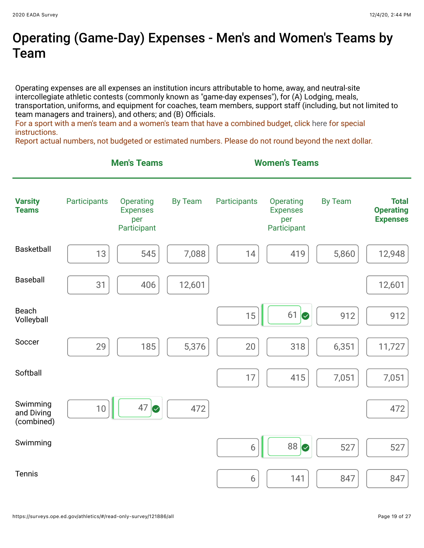### Operating (Game-Day) Expenses - Men's and Women's Teams by Team

Operating expenses are all expenses an institution incurs attributable to home, away, and neutral-site intercollegiate athletic contests (commonly known as "game-day expenses"), for (A) Lodging, meals, transportation, uniforms, and equipment for coaches, team members, support staff (including, but not limited to team managers and trainers), and others; and (B) Officials.

For a sport with a men's team and a women's team that have a combined budget, click [here](https://surveys.ope.ed.gov/athletics2k20/wwwroot/documents/inst_1.pdf) for special instructions.

Report actual numbers, not budgeted or estimated numbers. Please do not round beyond the next dollar.

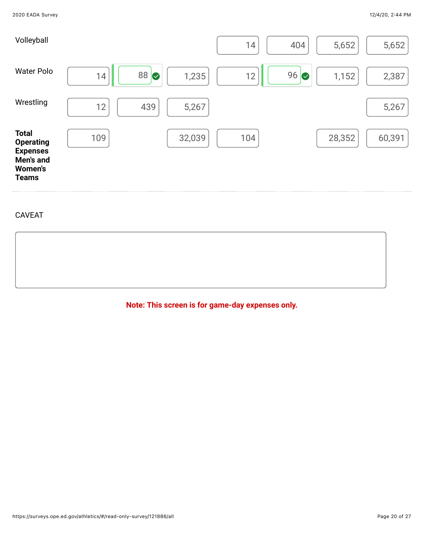

**Note: This screen is for game-day expenses only.**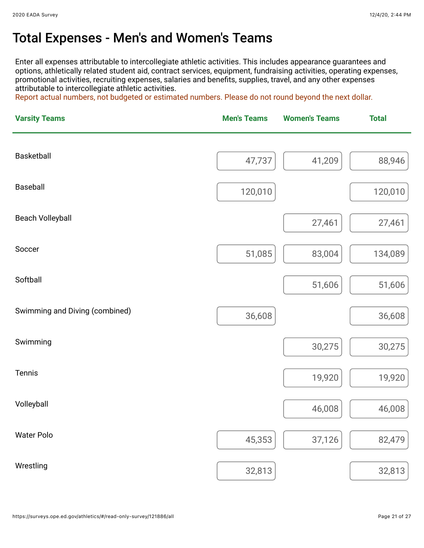### Total Expenses - Men's and Women's Teams

Enter all expenses attributable to intercollegiate athletic activities. This includes appearance guarantees and options, athletically related student aid, contract services, equipment, fundraising activities, operating expenses, promotional activities, recruiting expenses, salaries and benefits, supplies, travel, and any other expenses attributable to intercollegiate athletic activities.

Report actual numbers, not budgeted or estimated numbers. Please do not round beyond the next dollar.

| <b>Varsity Teams</b>           | <b>Men's Teams</b> | <b>Women's Teams</b> | <b>Total</b> |  |
|--------------------------------|--------------------|----------------------|--------------|--|
|                                |                    |                      |              |  |
| Basketball                     | 47,737             | 41,209               | 88,946       |  |
| <b>Baseball</b>                | 120,010            |                      | 120,010      |  |
|                                |                    |                      |              |  |
| <b>Beach Volleyball</b>        |                    | 27,461               | 27,461       |  |
| Soccer                         | 51,085             | 83,004               | 134,089      |  |
|                                |                    |                      |              |  |
| Softball                       |                    | 51,606               | 51,606       |  |
| Swimming and Diving (combined) | 36,608             |                      | 36,608       |  |
|                                |                    |                      |              |  |
| Swimming                       |                    | 30,275               | 30,275       |  |
| Tennis                         |                    | 19,920               | 19,920       |  |
|                                |                    |                      |              |  |
| Volleyball                     |                    | 46,008               | 46,008       |  |
| <b>Water Polo</b>              | 45,353             | 37,126               | 82,479       |  |
|                                |                    |                      |              |  |
| Wrestling                      | 32,813             |                      | 32,813       |  |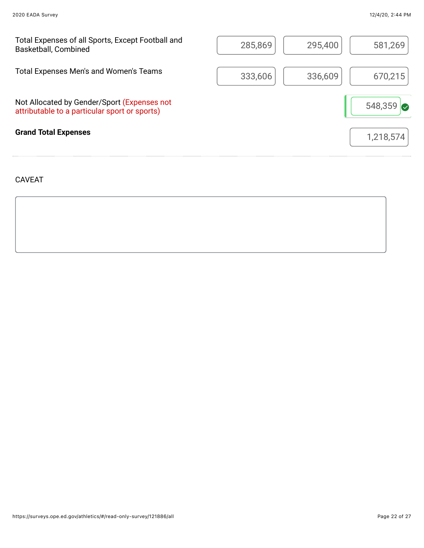| Total Expenses of all Sports, Except Football and<br><b>Basketball, Combined</b>             | 285,869 | 295,400 | 581,269   |
|----------------------------------------------------------------------------------------------|---------|---------|-----------|
| Total Expenses Men's and Women's Teams                                                       | 333,606 | 336,609 | 670,215   |
| Not Allocated by Gender/Sport (Expenses not<br>attributable to a particular sport or sports) |         |         | 548,359   |
| <b>Grand Total Expenses</b>                                                                  |         |         | 1,218,574 |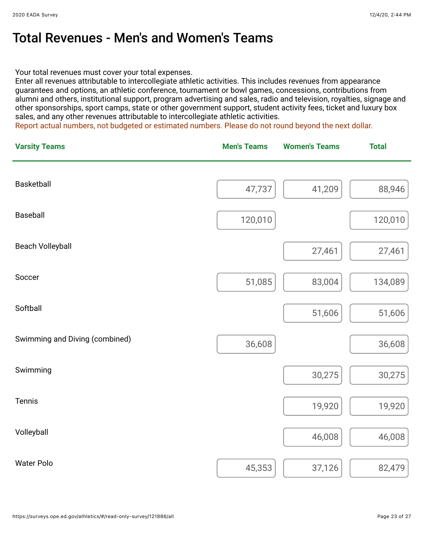### Total Revenues - Men's and Women's Teams

Your total revenues must cover your total expenses.

Enter all revenues attributable to intercollegiate athletic activities. This includes revenues from appearance guarantees and options, an athletic conference, tournament or bowl games, concessions, contributions from alumni and others, institutional support, program advertising and sales, radio and television, royalties, signage and other sponsorships, sport camps, state or other government support, student activity fees, ticket and luxury box sales, and any other revenues attributable to intercollegiate athletic activities.

Report actual numbers, not budgeted or estimated numbers. Please do not round beyond the next dollar.

| <b>Varsity Teams</b>           | <b>Men's Teams</b> | <b>Women's Teams</b> | <b>Total</b> |
|--------------------------------|--------------------|----------------------|--------------|
| Basketball                     |                    |                      |              |
|                                | 47,737             | 41,209               | 88,946       |
| <b>Baseball</b>                | 120,010            |                      | 120,010      |
| <b>Beach Volleyball</b>        |                    | 27,461               | 27,461       |
| Soccer                         | 51,085             | 83,004               | 134,089      |
| Softball                       |                    | 51,606               | 51,606       |
| Swimming and Diving (combined) | 36,608             |                      | 36,608       |
| Swimming                       |                    | 30,275               | 30,275       |
| Tennis                         |                    | 19,920               | 19,920       |
| Volleyball                     |                    | 46,008               | 46,008       |
| <b>Water Polo</b>              | 45,353             | 37,126               | 82,479       |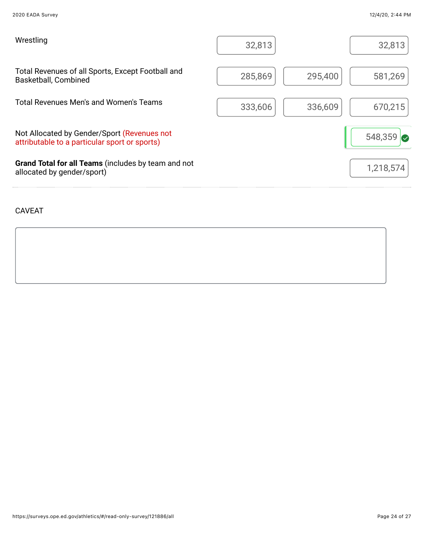| Wrestling                                                                                    | 32,813             | 32,813          |
|----------------------------------------------------------------------------------------------|--------------------|-----------------|
| Total Revenues of all Sports, Except Football and<br>Basketball, Combined                    | 285,869<br>295,400 | 581,269         |
| Total Revenues Men's and Women's Teams                                                       | 333,606<br>336,609 | 670,215         |
| Not Allocated by Gender/Sport (Revenues not<br>attributable to a particular sport or sports) |                    | 548,359 $\circ$ |
| Grand Total for all Teams (includes by team and not<br>allocated by gender/sport)            |                    | 1,218,574       |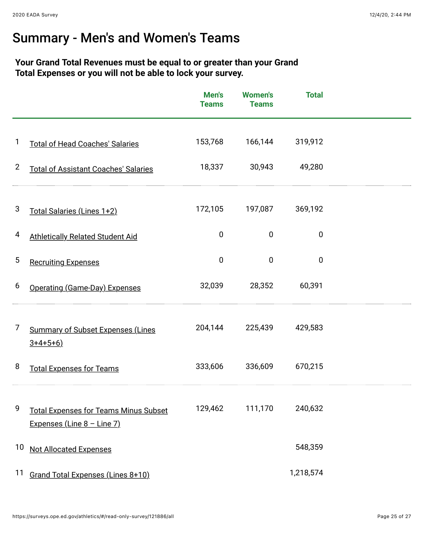## Summary - Men's and Women's Teams

#### **Your Grand Total Revenues must be equal to or greater than your Grand Total Expenses or you will not be able to lock your survey.**

|                |                                                                              | Men's<br><b>Teams</b> | <b>Women's</b><br><b>Teams</b> | <b>Total</b> |  |
|----------------|------------------------------------------------------------------------------|-----------------------|--------------------------------|--------------|--|
| 1              | <b>Total of Head Coaches' Salaries</b>                                       | 153,768               | 166,144                        | 319,912      |  |
| $\overline{2}$ | <b>Total of Assistant Coaches' Salaries</b>                                  | 18,337                | 30,943                         | 49,280       |  |
| 3              | Total Salaries (Lines 1+2)                                                   | 172,105               | 197,087                        | 369,192      |  |
| 4              | <b>Athletically Related Student Aid</b>                                      | $\mathbf 0$           | $\overline{0}$                 | $\mathbf{0}$ |  |
| 5              | <b>Recruiting Expenses</b>                                                   | $\overline{0}$        | 0                              | $\mathbf{0}$ |  |
| 6              | <b>Operating (Game-Day) Expenses</b>                                         | 32,039                | 28,352                         | 60,391       |  |
| 7              | <b>Summary of Subset Expenses (Lines</b><br>$3+4+5+6)$                       | 204,144               | 225,439                        | 429,583      |  |
| 8              | <b>Total Expenses for Teams</b>                                              | 333,606               | 336,609                        | 670,215      |  |
| 9              | <b>Total Expenses for Teams Minus Subset</b><br>Expenses (Line $8 -$ Line 7) | 129,462               | 111,170                        | 240,632      |  |
| 10             | <b>Not Allocated Expenses</b>                                                |                       |                                | 548,359      |  |
| 11             | Grand Total Expenses (Lines 8+10)                                            |                       |                                | 1,218,574    |  |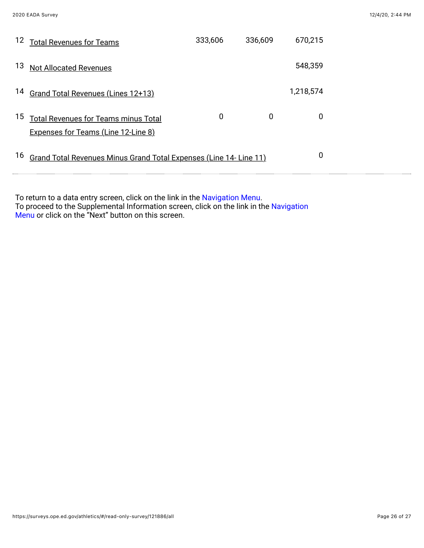| 12 | <b>Total Revenues for Teams</b>                                    | 333,606 | 336,609 | 670,215   |  |
|----|--------------------------------------------------------------------|---------|---------|-----------|--|
| 13 | <b>Not Allocated Revenues</b>                                      |         |         | 548,359   |  |
| 14 | Grand Total Revenues (Lines 12+13)                                 |         |         | 1,218,574 |  |
| 15 | <b>Total Revenues for Teams minus Total</b>                        | 0       | 0       | 0         |  |
|    | <b>Expenses for Teams (Line 12-Line 8)</b>                         |         |         |           |  |
| 16 | Grand Total Revenues Minus Grand Total Expenses (Line 14- Line 11) |         |         | 0         |  |

To return to a data entry screen, click on the link in the Navigation Menu. To proceed to the Supplemental Information screen, click on the link in the Navigation Menu or click on the "Next" button on this screen.